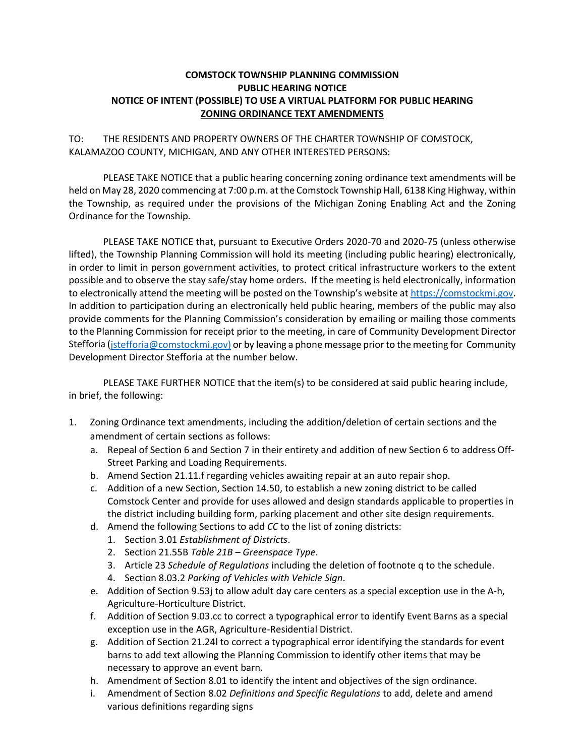## **COMSTOCK TOWNSHIP PLANNING COMMISSION PUBLIC HEARING NOTICE NOTICE OF INTENT (POSSIBLE) TO USE A VIRTUAL PLATFORM FOR PUBLIC HEARING ZONING ORDINANCE TEXT AMENDMENTS**

TO: THE RESIDENTS AND PROPERTY OWNERS OF THE CHARTER TOWNSHIP OF COMSTOCK, KALAMAZOO COUNTY, MICHIGAN, AND ANY OTHER INTERESTED PERSONS:

PLEASE TAKE NOTICE that a public hearing concerning zoning ordinance text amendments will be held on May 28, 2020 commencing at 7:00 p.m. at the Comstock Township Hall, 6138 King Highway, within the Township, as required under the provisions of the Michigan Zoning Enabling Act and the Zoning Ordinance for the Township.

PLEASE TAKE NOTICE that, pursuant to Executive Orders 2020-70 and 2020-75 (unless otherwise lifted), the Township Planning Commission will hold its meeting (including public hearing) electronically, in order to limit in person government activities, to protect critical infrastructure workers to the extent possible and to observe the stay safe/stay home orders. If the meeting is held electronically, information to electronically attend the meeting will be posted on the Township's website at [https://comstockmi.gov.](https://comstockmi.gov/) In addition to participation during an electronically held public hearing, members of the public may also provide comments for the Planning Commission's consideration by emailing or mailing those comments to the Planning Commission for receipt prior to the meeting, in care of Community Development Director Stefforia [\(jstefforia@comstockmi.gov\)](mailto:jstefforia@comstockmi.gov)d) or by leaving a phone message prior to the meeting for Community Development Director Stefforia at the number below.

PLEASE TAKE FURTHER NOTICE that the item(s) to be considered at said public hearing include, in brief, the following:

- 1. Zoning Ordinance text amendments, including the addition/deletion of certain sections and the amendment of certain sections as follows:
	- a. Repeal of Section 6 and Section 7 in their entirety and addition of new Section 6 to address Off-Street Parking and Loading Requirements.
	- b. Amend Section 21.11.f regarding vehicles awaiting repair at an auto repair shop.
	- c. Addition of a new Section, Section 14.50, to establish a new zoning district to be called Comstock Center and provide for uses allowed and design standards applicable to properties in the district including building form, parking placement and other site design requirements.
	- d. Amend the following Sections to add *CC* to the list of zoning districts:
		- 1. Section 3.01 *Establishment of Districts*.
		- 2. Section 21.55B *Table 21B – Greenspace Type*.
		- 3. Article 23 *Schedule of Regulations* including the deletion of footnote q to the schedule.
		- 4. Section 8.03.2 *Parking of Vehicles with Vehicle Sign*.
	- e. Addition of Section 9.53j to allow adult day care centers as a special exception use in the A-h, Agriculture-Horticulture District.
	- f. Addition of Section 9.03.cc to correct a typographical error to identify Event Barns as a special exception use in the AGR, Agriculture-Residential District.
	- g. Addition of Section 21.24l to correct a typographical error identifying the standards for event barns to add text allowing the Planning Commission to identify other items that may be necessary to approve an event barn.
	- h. Amendment of Section 8.01 to identify the intent and objectives of the sign ordinance.
	- i. Amendment of Section 8.02 *Definitions and Specific Regulations* to add, delete and amend various definitions regarding signs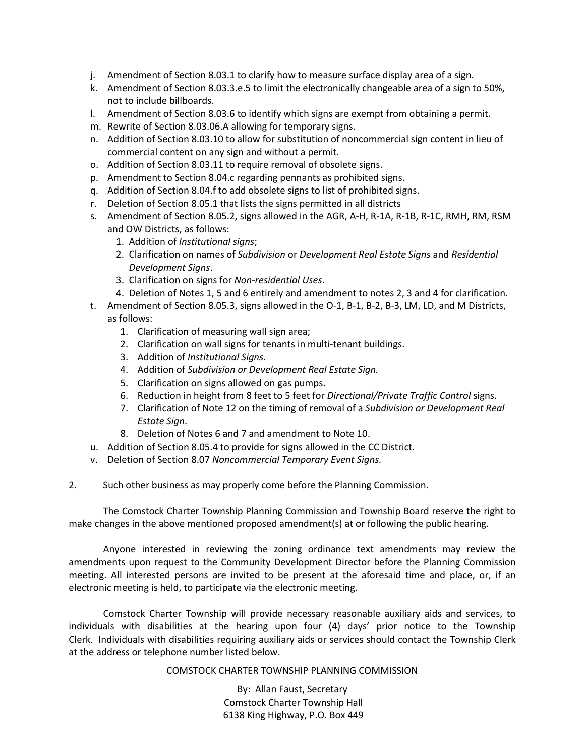- j. Amendment of Section 8.03.1 to clarify how to measure surface display area of a sign.
- k. Amendment of Section 8.03.3.e.5 to limit the electronically changeable area of a sign to 50%, not to include billboards.
- l. Amendment of Section 8.03.6 to identify which signs are exempt from obtaining a permit.
- m. Rewrite of Section 8.03.06.A allowing for temporary signs.
- n. Addition of Section 8.03.10 to allow for substitution of noncommercial sign content in lieu of commercial content on any sign and without a permit.
- o. Addition of Section 8.03.11 to require removal of obsolete signs.
- p. Amendment to Section 8.04.c regarding pennants as prohibited signs.
- q. Addition of Section 8.04.f to add obsolete signs to list of prohibited signs.
- r. Deletion of Section 8.05.1 that lists the signs permitted in all districts
- s. Amendment of Section 8.05.2, signs allowed in the AGR, A-H, R-1A, R-1B, R-1C, RMH, RM, RSM and OW Districts, as follows:
	- 1. Addition of *Institutional signs*;
	- 2. Clarification on names of *Subdivision* or *Development Real Estate Signs* and *Residential Development Signs*.
	- 3. Clarification on signs for *Non-residential Uses*.
	- 4. Deletion of Notes 1, 5 and 6 entirely and amendment to notes 2, 3 and 4 for clarification.
- t. Amendment of Section 8.05.3, signs allowed in the O-1, B-1, B-2, B-3, LM, LD, and M Districts, as follows:
	- 1. Clarification of measuring wall sign area;
	- 2. Clarification on wall signs for tenants in multi-tenant buildings.
	- 3. Addition of *Institutional Signs*.
	- 4. Addition of *Subdivision or Development Real Estate Sign.*
	- 5. Clarification on signs allowed on gas pumps.
	- 6. Reduction in height from 8 feet to 5 feet for *Directional/Private Traffic Control* signs.
	- 7. Clarification of Note 12 on the timing of removal of a *Subdivision or Development Real Estate Sign*.
	- 8. Deletion of Notes 6 and 7 and amendment to Note 10.
- u. Addition of Section 8.05.4 to provide for signs allowed in the CC District.
- v. Deletion of Section 8.07 *Noncommercial Temporary Event Signs.*

2. Such other business as may properly come before the Planning Commission.

The Comstock Charter Township Planning Commission and Township Board reserve the right to make changes in the above mentioned proposed amendment(s) at or following the public hearing.

Anyone interested in reviewing the zoning ordinance text amendments may review the amendments upon request to the Community Development Director before the Planning Commission meeting. All interested persons are invited to be present at the aforesaid time and place, or, if an electronic meeting is held, to participate via the electronic meeting.

Comstock Charter Township will provide necessary reasonable auxiliary aids and services, to individuals with disabilities at the hearing upon four (4) days' prior notice to the Township Clerk. Individuals with disabilities requiring auxiliary aids or services should contact the Township Clerk at the address or telephone number listed below.

COMSTOCK CHARTER TOWNSHIP PLANNING COMMISSION

By: Allan Faust, Secretary Comstock Charter Township Hall 6138 King Highway, P.O. Box 449